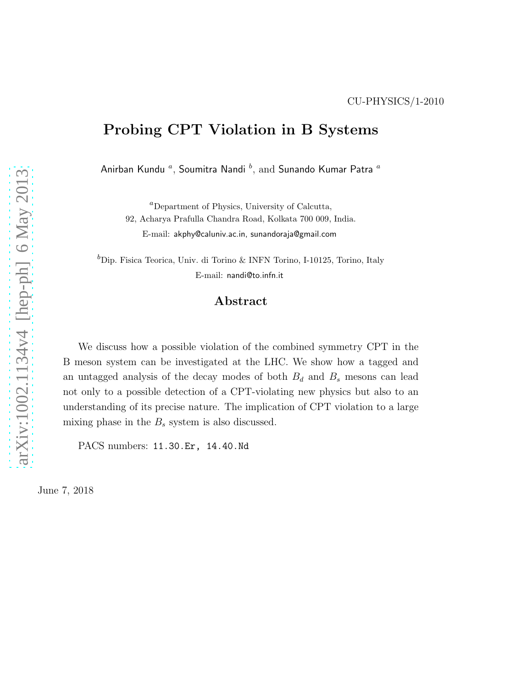# Probing CPT Violation in B Systems

Anirban Kundu  ${}^a,$  Soumitra Nandi  ${}^b,$  and Sunando Kumar Patra  ${}^a$ 

 ${}^a$ Department of Physics, University of Calcutta, 92, Acharya Prafulla Chandra Road, Kolkata 700 009, India. E-mail: akphy@caluniv.ac.in, sunandoraja@gmail.com

 ${}^b$ Dip. Fisica Teorica, Univ. di Torino & INFN Torino, I-10125, Torino, Italy E-mail: nandi@to.infn.it

#### Abstract

We discuss how a possible violation of the combined symmetry CPT in the B meson system can be investigated at the LHC. We show how a tagged and an untagged analysis of the decay modes of both  $B_d$  and  $B_s$  mesons can lead not only to a possible detection of a CPT-violating new physics but also to an understanding of its precise nature. The implication of CPT violation to a large mixing phase in the  $B_s$  system is also discussed.

PACS numbers: 11.30.Er, 14.40.Nd

June 7, 2018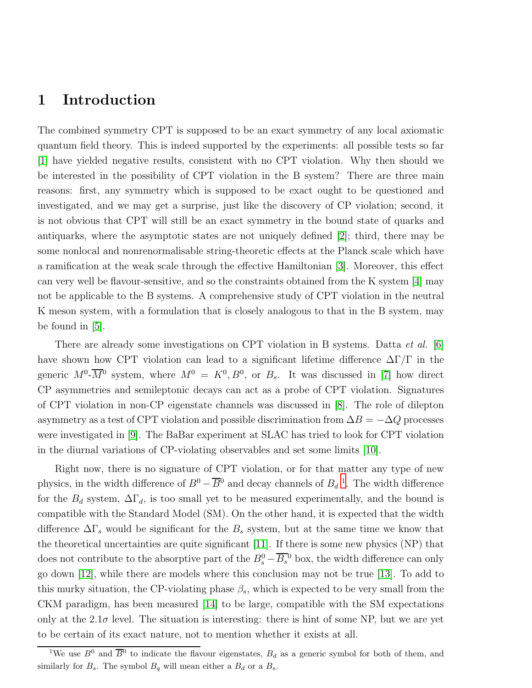## 1 Introduction

The combined symmetry CPT is supposed to be an exact symmetry of any local axiomatic quantum field theory. This is indeed supported by the experiments: all possible tests so far [\[1\]](#page-12-0) have yielded negative results, consistent with no CPT violation. Why then should we be interested in the possibility of CPT violation in the B system? There are three main reasons: first, any symmetry which is supposed to be exact ought to be questioned and investigated, and we may get a surprise, just like the discovery of CP violation; second, it is not obvious that CPT will still be an exact symmetry in the bound state of quarks and antiquarks, where the asymptotic states are not uniquely defined [\[2\]](#page-12-1); third, there may be some nonlocal and nonrenormalisable string-theoretic effects at the Planck scale which have a ramification at the weak scale through the effective Hamiltonian [\[3\]](#page-13-0). Moreover, this effect can very well be flavour-sensitive, and so the constraints obtained from the K system [\[4\]](#page-13-1) may not be applicable to the B systems. A comprehensive study of CPT violation in the neutral K meson system, with a formulation that is closely analogous to that in the B system, may be found in [\[5\]](#page-13-2).

There are already some investigations on CPT violation in B systems. Datta *et al.* [\[6\]](#page-13-3) have shown how CPT violation can lead to a significant lifetime difference  $\Delta\Gamma/\Gamma$  in the generic  $M^0$ - $\overline{M}{}^0$  system, where  $M^0 = K^0, B^0$ , or  $B_s$ . It was discussed in [\[7\]](#page-13-4) how direct CP asymmetries and semileptonic decays can act as a probe of CPT violation. Signatures of CPT violation in non-CP eigenstate channels was discussed in [\[8\]](#page-13-5). The role of dilepton asymmetry as a test of CPT violation and possible discrimination from  $\Delta B = -\Delta Q$  processes were investigated in [\[9\]](#page-13-6). The BaBar experiment at SLAC has tried to look for CPT violation in the diurnal variations of CP-violating observables and set some limits [\[10\]](#page-13-7).

Right now, there is no signature of CPT violation, or for that matter any type of new physics, in the width difference of  $B^0 - \overline{B}{}^0$  and decay channels of  $B_d$ <sup>[1](#page-1-0)</sup>. The width difference for the  $B_d$  system,  $\Delta \Gamma_d$ , is too small yet to be measured experimentally, and the bound is compatible with the Standard Model (SM). On the other hand, it is expected that the width difference  $\Delta\Gamma_s$  would be significant for the  $B_s$  system, but at the same time we know that the theoretical uncertainties are quite significant [\[11\]](#page-13-8). If there is some new physics (NP) that does not contribute to the absorptive part of the  $B_s^0 - \overline{B_s}^0$  box, the width difference can only go down [\[12\]](#page-13-9), while there are models where this conclusion may not be true [\[13\]](#page-13-10). To add to this murky situation, the CP-violating phase  $\beta_s$ , which is expected to be very small from the CKM paradigm, has been measured [\[14\]](#page-13-11) to be large, compatible with the SM expectations only at the  $2.1\sigma$  level. The situation is interesting: there is hint of some NP, but we are yet to be certain of its exact nature, not to mention whether it exists at all.

<span id="page-1-0"></span><sup>&</sup>lt;sup>1</sup>We use  $B^0$  and  $\overline{B}{}^0$  to indicate the flavour eigenstates,  $B_d$  as a generic symbol for both of them, and similarly for  $B_s$ . The symbol  $B_q$  will mean either a  $B_d$  or a  $B_s$ .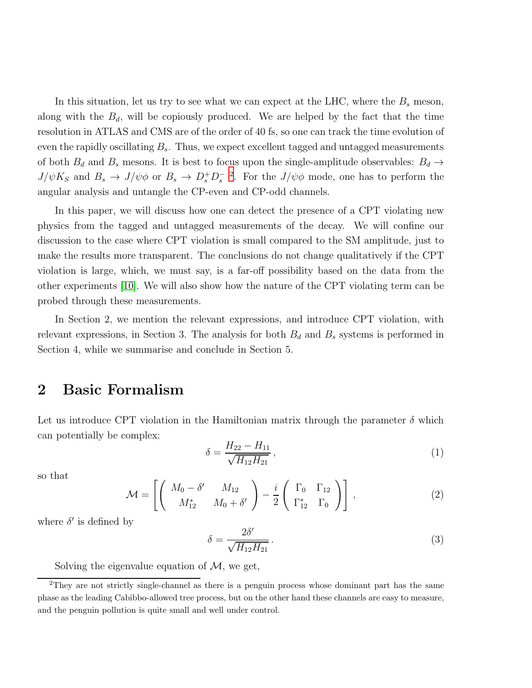In this situation, let us try to see what we can expect at the LHC, where the  $B_s$  meson, along with the  $B_d$ , will be copiously produced. We are helped by the fact that the time resolution in ATLAS and CMS are of the order of 40 fs, so one can track the time evolution of even the rapidly oscillating  $B_s$ . Thus, we expect excellent tagged and untagged measurements of both  $B_d$  and  $B_s$  mesons. It is best to focus upon the single-amplitude observables:  $B_d \rightarrow$  $J/\psi K_S$  and  $B_s \to J/\psi \phi$  or  $B_s \to D_s^+ D_s^-$  <sup>[2](#page-2-0)</sup>. For the  $J/\psi \phi$  mode, one has to perform the angular analysis and untangle the CP-even and CP-odd channels.

In this paper, we will discuss how one can detect the presence of a CPT violating new physics from the tagged and untagged measurements of the decay. We will confine our discussion to the case where CPT violation is small compared to the SM amplitude, just to make the results more transparent. The conclusions do not change qualitatively if the CPT violation is large, which, we must say, is a far-off possibility based on the data from the other experiments [\[10\]](#page-13-7). We will also show how the nature of the CPT violating term can be probed through these measurements.

In Section 2, we mention the relevant expressions, and introduce CPT violation, with relevant expressions, in Section 3. The analysis for both  $B_d$  and  $B_s$  systems is performed in Section 4, while we summarise and conclude in Section 5.

#### 2 Basic Formalism

Let us introduce CPT violation in the Hamiltonian matrix through the parameter  $\delta$  which can potentially be complex:

$$
\delta = \frac{H_{22} - H_{11}}{\sqrt{H_{12} H_{21}}},\tag{1}
$$

so that

$$
\mathcal{M} = \left[ \left( \begin{array}{cc} M_0 - \delta' & M_{12} \\ M_{12}^* & M_0 + \delta' \end{array} \right) - \frac{i}{2} \left( \begin{array}{cc} \Gamma_0 & \Gamma_{12} \\ \Gamma_{12}^* & \Gamma_0 \end{array} \right) \right],
$$
 (2)

where  $\delta'$  is defined by

$$
\delta = \frac{2\delta'}{\sqrt{H_{12}H_{21}}}.
$$
\n(3)

Solving the eigenvalue equation of  $M$ , we get,

<span id="page-2-0"></span><sup>2</sup>They are not strictly single-channel as there is a penguin process whose dominant part has the same phase as the leading Cabibbo-allowed tree process, but on the other hand these channels are easy to measure, and the penguin pollution is quite small and well under control.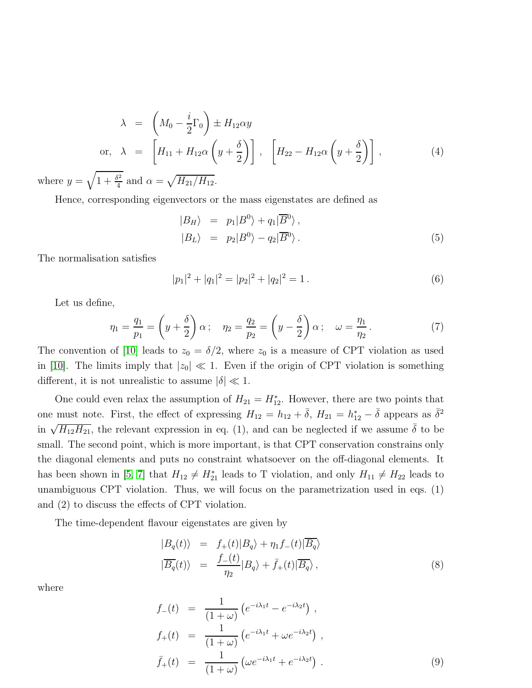$$
\lambda = \left(M_0 - \frac{i}{2}\Gamma_0\right) \pm H_{12}\alpha y
$$
\nor, 
$$
\lambda = \left[H_{11} + H_{12}\alpha\left(y + \frac{\delta}{2}\right)\right], \quad \left[H_{22} - H_{12}\alpha\left(y + \frac{\delta}{2}\right)\right],
$$
\n(4)

where  $y = \sqrt{1 + \frac{\delta^2}{4}}$  $\frac{\delta^2}{4}$  and  $\alpha = \sqrt{H_{21}/H_{12}}$ .

Hence, corresponding eigenvectors or the mass eigenstates are defined as

$$
\begin{array}{rcl}\n|B_H\rangle &=& p_1|B^0\rangle + q_1|\overline{B}^0\rangle, \\
|B_L\rangle &=& p_2|B^0\rangle - q_2|\overline{B}^0\rangle.\n\end{array} \tag{5}
$$

The normalisation satisfies

$$
|p_1|^2 + |q_1|^2 = |p_2|^2 + |q_2|^2 = 1.
$$
 (6)

Let us define,

<span id="page-3-0"></span>
$$
\eta_1 = \frac{q_1}{p_1} = \left(y + \frac{\delta}{2}\right)\alpha; \quad \eta_2 = \frac{q_2}{p_2} = \left(y - \frac{\delta}{2}\right)\alpha; \quad \omega = \frac{\eta_1}{\eta_2}.\tag{7}
$$

The convention of [\[10\]](#page-13-7) leads to  $z_0 = \delta/2$ , where  $z_0$  is a measure of CPT violation as used in [\[10\]](#page-13-7). The limits imply that  $|z_0| \ll 1$ . Even if the origin of CPT violation is something different, it is not unrealistic to assume  $|\delta| \ll 1$ .

One could even relax the assumption of  $H_{21} = H_{12}^*$ . However, there are two points that one must note. First, the effect of expressing  $H_{12} = h_{12} + \bar{\delta}$ ,  $H_{21} = h_{12}^* - \bar{\delta}$  appears as  $\bar{\delta}^2$ in  $\sqrt{H_{12}H_{21}}$ , the relevant expression in eq. (1), and can be neglected if we assume  $\bar{\delta}$  to be small. The second point, which is more important, is that CPT conservation constrains only the diagonal elements and puts no constraint whatsoever on the off-diagonal elements. It has been shown in [\[5,](#page-13-2) [7\]](#page-13-4) that  $H_{12} \neq H_{21}^*$  leads to T violation, and only  $H_{11} \neq H_{22}$  leads to unambiguous CPT violation. Thus, we will focus on the parametrization used in eqs. (1) and (2) to discuss the effects of CPT violation.

The time-dependent flavour eigenstates are given by

$$
\begin{array}{rcl}\n|B_q(t)\rangle & = & f_+(t)|B_q\rangle + \eta_1 f_-(t)|\overline{B_q}\rangle \\
|\overline{B_q}(t)\rangle & = & \frac{f_-(t)}{\eta_2}|B_q\rangle + \overline{f}_+(t)|\overline{B_q}\rangle \,,\n\end{array} \tag{8}
$$

where

<span id="page-3-1"></span>
$$
f_{-}(t) = \frac{1}{(1+\omega)} \left( e^{-i\lambda_1 t} - e^{-i\lambda_2 t} \right),
$$
  
\n
$$
f_{+}(t) = \frac{1}{(1+\omega)} \left( e^{-i\lambda_1 t} + \omega e^{-i\lambda_2 t} \right),
$$
  
\n
$$
\bar{f}_{+}(t) = \frac{1}{(1+\omega)} \left( \omega e^{-i\lambda_1 t} + e^{-i\lambda_2 t} \right).
$$
\n(9)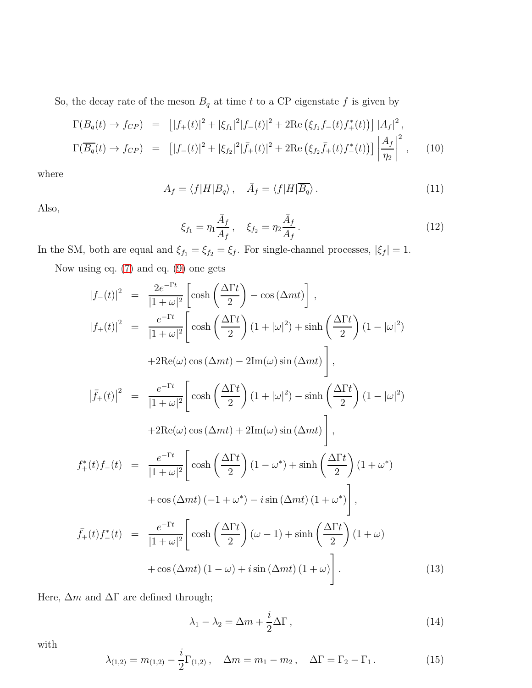So, the decay rate of the meson  $B_q$  at time  $t$  to a CP eigenstate  $f$  is given by

<span id="page-4-0"></span>
$$
\Gamma(B_q(t) \to f_{CP}) = \left[ |f_+(t)|^2 + |\xi_{f_1}|^2 |f_-(t)|^2 + 2 \text{Re} \left( \xi_{f_1} f_-(t) f_+^*(t) \right) \right] |A_f|^2,
$$
\n
$$
\Gamma(\overline{B_q}(t) \to f_{CP}) = \left[ |f_-(t)|^2 + |\xi_{f_2}|^2 |f_+(t)|^2 + 2 \text{Re} \left( \xi_{f_2} \overline{f}_+(t) f_-^*(t) \right) \right] \left| \frac{A_f}{\eta_2} \right|^2, \quad (10)
$$

where

$$
A_f = \langle f|H|B_q\rangle \,, \quad \bar{A}_f = \langle f|H|\overline{B_q}\rangle \,. \tag{11}
$$

Also,

$$
\xi_{f_1} = \eta_1 \frac{\bar{A}_f}{A_f}, \quad \xi_{f_2} = \eta_2 \frac{\bar{A}_f}{A_f}.
$$
\n(12)

In the SM, both are equal and  $\xi_{f1} = \xi_{f2} = \xi_f$ . For single-channel processes,  $|\xi_f| = 1$ .

Now using eq. [\(7\)](#page-3-0) and eq. [\(9\)](#page-3-1) one gets

<span id="page-4-1"></span>
$$
|f_{-}(t)|^{2} = \frac{2e^{-\Gamma t}}{|1+\omega|^{2}} \left[ \cosh\left(\frac{\Delta\Gamma t}{2}\right) - \cos(\Delta mt) \right],
$$
  
\n
$$
|f_{+}(t)|^{2} = \frac{e^{-\Gamma t}}{|1+\omega|^{2}} \left[ \cosh\left(\frac{\Delta\Gamma t}{2}\right)(1+|\omega|^{2}) + \sinh\left(\frac{\Delta\Gamma t}{2}\right)(1-|\omega|^{2}) + 2\text{Re}(\omega)\cos(\Delta mt) - 2\text{Im}(\omega)\sin(\Delta mt) \right],
$$
  
\n
$$
|\bar{f}_{+}(t)|^{2} = \frac{e^{-\Gamma t}}{|1+\omega|^{2}} \left[ \cosh\left(\frac{\Delta\Gamma t}{2}\right)(1+|\omega|^{2}) - \sinh\left(\frac{\Delta\Gamma t}{2}\right)(1-|\omega|^{2}) + 2\text{Re}(\omega)\cos(\Delta mt) + 2\text{Im}(\omega)\sin(\Delta mt) \right],
$$
  
\n
$$
f_{+}^{*}(t)f_{-}(t) = \frac{e^{-\Gamma t}}{|1+\omega|^{2}} \left[ \cosh\left(\frac{\Delta\Gamma t}{2}\right)(1-\omega^{*}) + \sinh\left(\frac{\Delta\Gamma t}{2}\right)(1+\omega^{*}) + \cos(\Delta mt)(-1+\omega^{*}) - i\sin(\Delta mt)(1+\omega^{*}) \right],
$$
  
\n
$$
\bar{f}_{+}(t)f_{-}^{*}(t) = \frac{e^{-\Gamma t}}{|1+\omega|^{2}} \left[ \cosh\left(\frac{\Delta\Gamma t}{2}\right)(\omega-1) + \sin(\frac{\Delta\Gamma t}{2})\left(1+\omega\right) + \cos(\Delta mt)(1-\omega) + i\sin(\Delta mt)(1+\omega) \right].
$$
  
\n(13)

Here,  $\Delta m$  and  $\Delta \Gamma$  are defined through;

$$
\lambda_1 - \lambda_2 = \Delta m + \frac{i}{2} \Delta \Gamma, \qquad (14)
$$

with

$$
\lambda_{(1,2)} = m_{(1,2)} - \frac{i}{2} \Gamma_{(1,2)} , \quad \Delta m = m_1 - m_2 , \quad \Delta \Gamma = \Gamma_2 - \Gamma_1 . \tag{15}
$$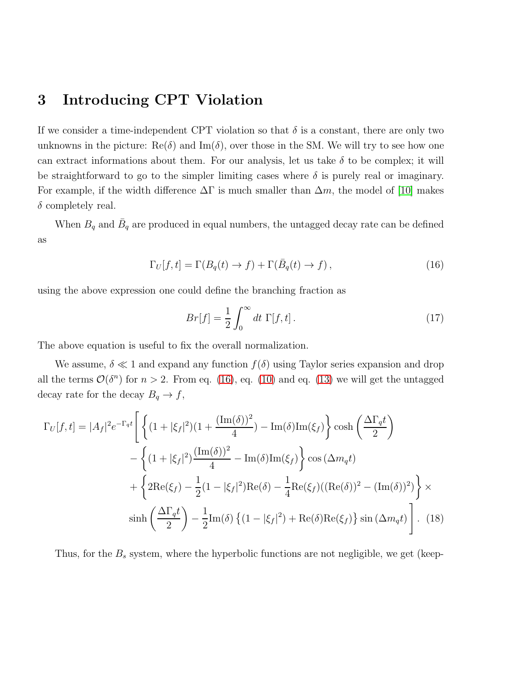# 3 Introducing CPT Violation

If we consider a time-independent CPT violation so that  $\delta$  is a constant, there are only two unknowns in the picture:  $\text{Re}(\delta)$  and  $\text{Im}(\delta)$ , over those in the SM. We will try to see how one can extract informations about them. For our analysis, let us take  $\delta$  to be complex; it will be straightforward to go to the simpler limiting cases where  $\delta$  is purely real or imaginary. For example, if the width difference  $\Delta\Gamma$  is much smaller than  $\Delta m$ , the model of [\[10\]](#page-13-7) makes  $\delta$  completely real.

When  $B_q$  and  $\bar{B}_q$  are produced in equal numbers, the untagged decay rate can be defined as

$$
\Gamma_U[f, t] = \Gamma(B_q(t) \to f) + \Gamma(\bar{B}_q(t) \to f), \qquad (16)
$$

using the above expression one could define the branching fraction as

<span id="page-5-0"></span>
$$
Br[f] = \frac{1}{2} \int_0^\infty dt \, \Gamma[f, t]. \tag{17}
$$

The above equation is useful to fix the overall normalization.

We assume,  $\delta \ll 1$  and expand any function  $f(\delta)$  using Taylor series expansion and drop all the terms  $\mathcal{O}(\delta^n)$  for  $n > 2$ . From eq. [\(16\)](#page-5-0), eq. [\(10\)](#page-4-0) and eq. [\(13\)](#page-4-1) we will get the untagged decay rate for the decay  $B_q \to f$ ,

$$
\Gamma_U[f,t] = |A_f|^2 e^{-\Gamma_q t} \left[ \left\{ (1+|\xi_f|^2)(1+\frac{(\text{Im}(\delta))^2}{4}) - \text{Im}(\delta)\text{Im}(\xi_f) \right\} \cosh\left(\frac{\Delta \Gamma_q t}{2}\right) \right. \\
\left. - \left\{ (1+|\xi_f|^2)\frac{(\text{Im}(\delta))^2}{4} - \text{Im}(\delta)\text{Im}(\xi_f) \right\} \cos(\Delta m_q t) \right. \\
\left. + \left\{ 2\text{Re}(\xi_f) - \frac{1}{2}(1-|\xi_f|^2)\text{Re}(\delta) - \frac{1}{4}\text{Re}(\xi_f)((\text{Re}(\delta))^2 - (\text{Im}(\delta))^2) \right\} \times \sinh\left(\frac{\Delta \Gamma_q t}{2}\right) - \frac{1}{2}\text{Im}(\delta) \left\{ (1-|\xi_f|^2) + \text{Re}(\delta)\text{Re}(\xi_f) \right\} \sin(\Delta m_q t) \right].
$$
 (18)

Thus, for the  $B_s$  system, where the hyperbolic functions are not negligible, we get (keep-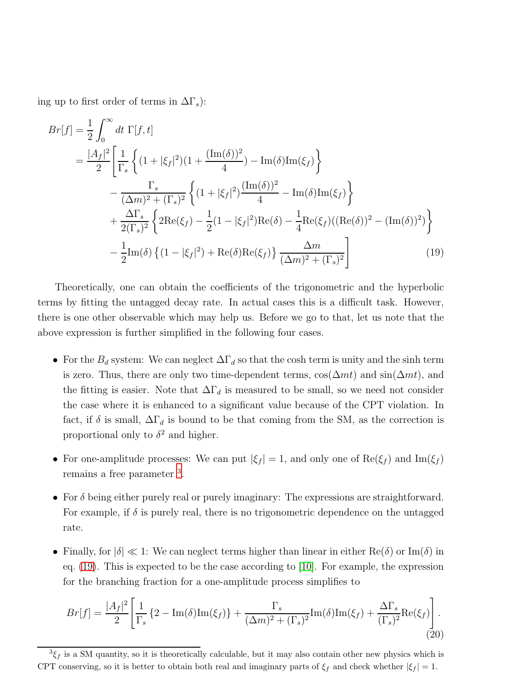ing up to first order of terms in  $\Delta\Gamma_s$ ):

$$
Br[f] = \frac{1}{2} \int_0^\infty dt \ \Gamma[f, t]
$$
  
=  $\frac{|A_f|^2}{2} \left[ \frac{1}{\Gamma_s} \left\{ (1 + |\xi_f|^2)(1 + \frac{(\text{Im}(\delta))^2}{4}) - \text{Im}(\delta)\text{Im}(\xi_f) \right\} \right.\n - \frac{\Gamma_s}{(\Delta m)^2 + (\Gamma_s)^2} \left\{ (1 + |\xi_f|^2) \frac{(\text{Im}(\delta))^2}{4} - \text{Im}(\delta)\text{Im}(\xi_f) \right\}\n + \frac{\Delta \Gamma_s}{2(\Gamma_s)^2} \left\{ 2\text{Re}(\xi_f) - \frac{1}{2}(1 - |\xi_f|^2)\text{Re}(\delta) - \frac{1}{4}\text{Re}(\xi_f)((\text{Re}(\delta))^2 - (\text{Im}(\delta))^2) \right\}\n - \frac{1}{2}\text{Im}(\delta) \left\{ (1 - |\xi_f|^2) + \text{Re}(\delta)\text{Re}(\xi_f) \right\} \frac{\Delta m}{(\Delta m)^2 + (\Gamma_s)^2}$ (19)

Theoretically, one can obtain the coefficients of the trigonometric and the hyperbolic terms by fitting the untagged decay rate. In actual cases this is a difficult task. However, there is one other observable which may help us. Before we go to that, let us note that the above expression is further simplified in the following four cases.

- <span id="page-6-1"></span>• For the  $B_d$  system: We can neglect  $\Delta\Gamma_d$  so that the cosh term is unity and the sinh term is zero. Thus, there are only two time-dependent terms,  $\cos(\Delta mt)$  and  $\sin(\Delta mt)$ , and the fitting is easier. Note that  $\Delta\Gamma_d$  is measured to be small, so we need not consider the case where it is enhanced to a significant value because of the CPT violation. In fact, if  $\delta$  is small,  $\Delta\Gamma_d$  is bound to be that coming from the SM, as the correction is proportional only to  $\delta^2$  and higher.
- For one-amplitude processes: We can put  $|\xi_f| = 1$ , and only one of  $\text{Re}(\xi_f)$  and  $\text{Im}(\xi_f)$ remains a free parameter <sup>[3](#page-6-0)</sup>.
- For  $\delta$  being either purely real or purely imaginary: The expressions are straightforward. For example, if  $\delta$  is purely real, there is no trigonometric dependence on the untagged rate.
- Finally, for  $|\delta| \ll 1$ : We can neglect terms higher than linear in either Re( $\delta$ ) or Im( $\delta$ ) in eq. [\(19\)](#page-6-1). This is expected to be the case according to [\[10\]](#page-13-7). For example, the expression for the branching fraction for a one-amplitude process simplifies to

$$
Br[f] = \frac{|A_f|^2}{2} \left[ \frac{1}{\Gamma_s} \left\{ 2 - \text{Im}(\delta) \text{Im}(\xi_f) \right\} + \frac{\Gamma_s}{(\Delta m)^2 + (\Gamma_s)^2} \text{Im}(\delta) \text{Im}(\xi_f) + \frac{\Delta \Gamma_s}{(\Gamma_s)^2} \text{Re}(\xi_f) \right].
$$
\n(20)

<span id="page-6-0"></span> ${}^{3}\xi_{f}$  is a SM quantity, so it is theoretically calculable, but it may also contain other new physics which is CPT conserving, so it is better to obtain both real and imaginary parts of  $\xi_f$  and check whether  $|\xi_f| = 1$ .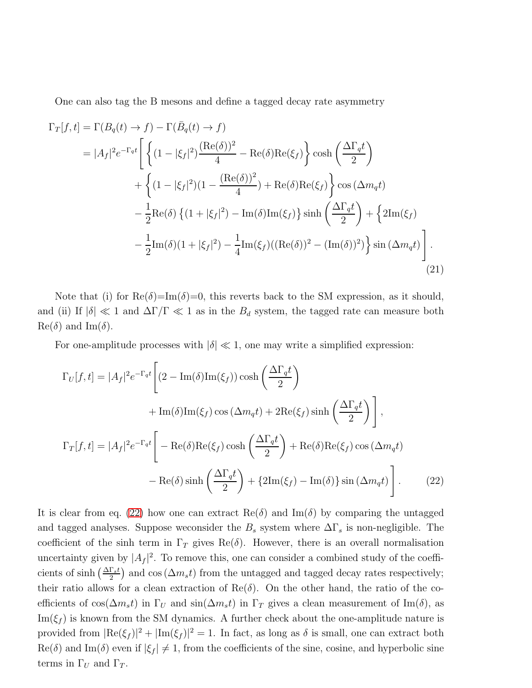One can also tag the B mesons and define a tagged decay rate asymmetry

$$
\Gamma_T[f,t] = \Gamma(B_q(t) \to f) - \Gamma(\bar{B}_q(t) \to f)
$$
  
\n
$$
= |A_f|^2 e^{-\Gamma_q t} \left[ \left\{ (1 - |\xi_f|^2) \frac{(\text{Re}(\delta))^2}{4} - \text{Re}(\delta) \text{Re}(\xi_f) \right\} \cosh\left(\frac{\Delta \Gamma_q t}{2}\right) \right. \n+ \left\{ (1 - |\xi_f|^2)(1 - \frac{(\text{Re}(\delta))^2}{4}) + \text{Re}(\delta) \text{Re}(\xi_f) \right\} \cos(\Delta m_q t) \right. \n- \frac{1}{2} \text{Re}(\delta) \left\{ (1 + |\xi_f|^2) - \text{Im}(\delta) \text{Im}(\xi_f) \right\} \sinh\left(\frac{\Delta \Gamma_q t}{2}\right) + \left\{ 2 \text{Im}(\xi_f) \right. \n- \frac{1}{2} \text{Im}(\delta) (1 + |\xi_f|^2) - \frac{1}{4} \text{Im}(\xi_f) ((\text{Re}(\delta))^2 - (\text{Im}(\delta))^2) \right\} \sin(\Delta m_q t) \right]. \tag{21}
$$

Note that (i) for  $\text{Re}(\delta) = \text{Im}(\delta) = 0$ , this reverts back to the SM expression, as it should, and (ii) If  $|\delta| \ll 1$  and  $\Delta \Gamma / \Gamma \ll 1$  as in the  $B_d$  system, the tagged rate can measure both  $\text{Re}(\delta)$  and  $\text{Im}(\delta)$ .

For one-amplitude processes with  $|\delta| \ll 1$ , one may write a simplified expression:

<span id="page-7-0"></span>
$$
\Gamma_U[f, t] = |A_f|^2 e^{-\Gamma_q t} \left[ (2 - \text{Im}(\delta) \text{Im}(\xi_f)) \cosh\left(\frac{\Delta \Gamma_q t}{2}\right) \right]
$$
  
+ 
$$
\text{Im}(\delta) \text{Im}(\xi_f) \cos(\Delta m_q t) + 2 \text{Re}(\xi_f) \sinh\left(\frac{\Delta \Gamma_q t}{2}\right) \right],
$$
  

$$
\Gamma_T[f, t] = |A_f|^2 e^{-\Gamma_q t} \left[ -\text{Re}(\delta) \text{Re}(\xi_f) \cosh\left(\frac{\Delta \Gamma_q t}{2}\right) + \text{Re}(\delta) \text{Re}(\xi_f) \cos(\Delta m_q t) \right]
$$
  
- 
$$
\text{Re}(\delta) \sinh\left(\frac{\Delta \Gamma_q t}{2}\right) + \{2 \text{Im}(\xi_f) - \text{Im}(\delta)\} \sin(\Delta m_q t) \right].
$$
 (22)

It is clear from eq. [\(22\)](#page-7-0) how one can extract  $\text{Re}(\delta)$  and  $\text{Im}(\delta)$  by comparing the untagged and tagged analyses. Suppose we<br>consider the  $B_s$  system where  $\Delta\Gamma_s$  is non-negligible. The coefficient of the sinh term in  $\Gamma_T$  gives Re( $\delta$ ). However, there is an overall normalisation uncertainty given by  $|A_f|^2$ . To remove this, one can consider a combined study of the coefficients of sinh  $\left(\frac{\Delta\Gamma_s t}{2}\right)$  and cos  $(\Delta m_s t)$  from the untagged and tagged decay rates respectively; their ratio allows for a clean extraction of  $\text{Re}(\delta)$ . On the other hand, the ratio of the coefficients of cos( $\Delta m_s t$ ) in  $\Gamma_U$  and sin( $\Delta m_s t$ ) in  $\Gamma_T$  gives a clean measurement of Im( $\delta$ ), as  $\text{Im}(\xi_f)$  is known from the SM dynamics. A further check about the one-amplitude nature is provided from  $|\text{Re}(\xi_f)|^2 + |\text{Im}(\xi_f)|^2 = 1$ . In fact, as long as  $\delta$  is small, one can extract both  $\text{Re}(\delta)$  and  $\text{Im}(\delta)$  even if  $|\xi_f| \neq 1$ , from the coefficients of the sine, cosine, and hyperbolic sine terms in  $\Gamma_U$  and  $\Gamma_T$ .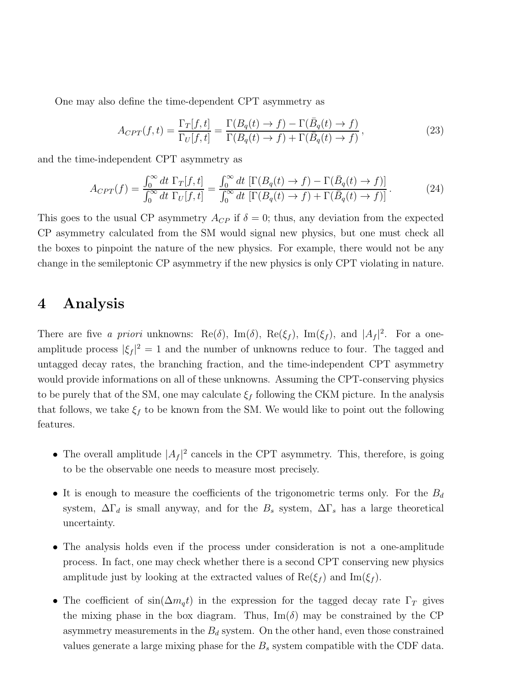One may also define the time-dependent CPT asymmetry as

$$
A_{CPT}(f,t) = \frac{\Gamma_T[f,t]}{\Gamma_U[f,t]} = \frac{\Gamma(B_q(t) \to f) - \Gamma(\bar{B}_q(t) \to f)}{\Gamma(B_q(t) \to f) + \Gamma(\bar{B}_q(t) \to f)},
$$
\n(23)

and the time-independent CPT asymmetry as

$$
A_{CPT}(f) = \frac{\int_0^\infty dt \ \Gamma_T[f, t]}{\int_0^\infty dt \ \Gamma_U[f, t]} = \frac{\int_0^\infty dt \ [\Gamma(B_q(t) \to f) - \Gamma(\bar{B}_q(t) \to f)]}{\int_0^\infty dt \ [\Gamma(B_q(t) \to f) + \Gamma(\bar{B}_q(t) \to f)]}.
$$
(24)

This goes to the usual CP asymmetry  $A_{CP}$  if  $\delta = 0$ ; thus, any deviation from the expected CP asymmetry calculated from the SM would signal new physics, but one must check all the boxes to pinpoint the nature of the new physics. For example, there would not be any change in the semileptonic CP asymmetry if the new physics is only CPT violating in nature.

## 4 Analysis

There are five a priori unknowns:  $\text{Re}(\delta)$ ,  $\text{Im}(\delta)$ ,  $\text{Re}(\xi_f)$ ,  $\text{Im}(\xi_f)$ , and  $|A_f|^2$ . For a oneamplitude process  $|\xi_f|^2 = 1$  and the number of unknowns reduce to four. The tagged and untagged decay rates, the branching fraction, and the time-independent CPT asymmetry would provide informations on all of these unknowns. Assuming the CPT-conserving physics to be purely that of the SM, one may calculate  $\xi_f$  following the CKM picture. In the analysis that follows, we take  $\xi_f$  to be known from the SM. We would like to point out the following features.

- The overall amplitude  $|A_f|^2$  cancels in the CPT asymmetry. This, therefore, is going to be the observable one needs to measure most precisely.
- It is enough to measure the coefficients of the trigonometric terms only. For the  $B_d$ system,  $\Delta\Gamma_d$  is small anyway, and for the  $B_s$  system,  $\Delta\Gamma_s$  has a large theoretical uncertainty.
- The analysis holds even if the process under consideration is not a one-amplitude process. In fact, one may check whether there is a second CPT conserving new physics amplitude just by looking at the extracted values of  $\text{Re}(\xi_f)$  and  $\text{Im}(\xi_f)$ .
- The coefficient of  $\sin(\Delta m_q t)$  in the expression for the tagged decay rate  $\Gamma_T$  gives the mixing phase in the box diagram. Thus,  $\text{Im}(\delta)$  may be constrained by the CP asymmetry measurements in the  $B_d$  system. On the other hand, even those constrained values generate a large mixing phase for the  $B<sub>s</sub>$  system compatible with the CDF data.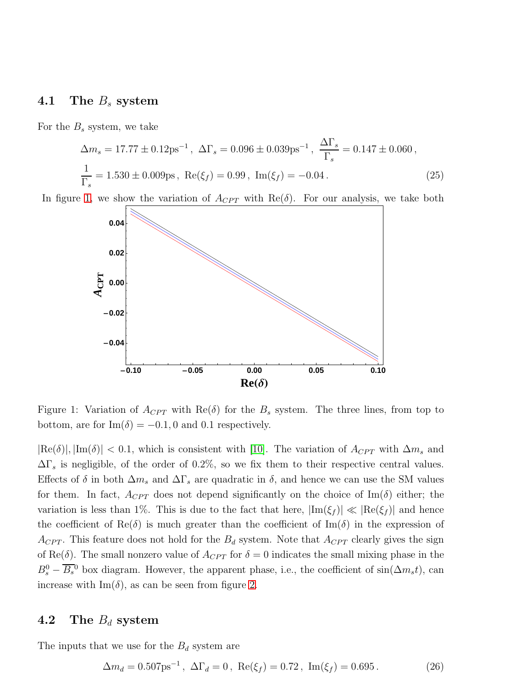# 4.1 The  $B_s$  system

For the  $B_s$  system, we take

$$
\Delta m_s = 17.77 \pm 0.12 \text{ps}^{-1}, \ \Delta \Gamma_s = 0.096 \pm 0.039 \text{ps}^{-1}, \ \frac{\Delta \Gamma_s}{\Gamma_s} = 0.147 \pm 0.060,
$$
  

$$
\frac{1}{\Gamma_s} = 1.530 \pm 0.009 \text{ps}, \ \text{Re}(\xi_f) = 0.99, \ \text{Im}(\xi_f) = -0.04.
$$
 (25)

In figure [1,](#page-9-0) we show the variation of  $A_{CPT}$  with  $\text{Re}(\delta)$ . For our analysis, we take both



<span id="page-9-0"></span>Figure 1: Variation of  $A_{CPT}$  with  $\text{Re}(\delta)$  for the  $B_s$  system. The three lines, from top to bottom, are for Im( $\delta$ ) = -0.1, 0 and 0.1 respectively.

 $|\text{Re}(\delta)|, |\text{Im}(\delta)| < 0.1$ , which is consistent with [\[10\]](#page-13-7). The variation of  $A_{CPT}$  with  $\Delta m_s$  and  $\Delta\Gamma_s$  is negligible, of the order of 0.2%, so we fix them to their respective central values. Effects of  $\delta$  in both  $\Delta m_s$  and  $\Delta \Gamma_s$  are quadratic in  $\delta$ , and hence we can use the SM values for them. In fact,  $A_{CPT}$  does not depend significantly on the choice of Im( $\delta$ ) either; the variation is less than 1%. This is due to the fact that here,  $|\text{Im}(\xi_f)| \ll |\text{Re}(\xi_f)|$  and hence the coefficient of Re $(\delta)$  is much greater than the coefficient of Im $(\delta)$  in the expression of  $A_{CPT}$ . This feature does not hold for the  $B_d$  system. Note that  $A_{CPT}$  clearly gives the sign of Re(δ). The small nonzero value of  $A_{CPT}$  for  $\delta = 0$  indicates the small mixing phase in the  $B_s^0 - \overline{B_s}^0$  box diagram. However, the apparent phase, i.e., the coefficient of sin $(\Delta m_s t)$ , can increase with  $\text{Im}(\delta)$ , as can be seen from figure [2.](#page-10-0)

#### 4.2 The  $B_d$  system

The inputs that we use for the  $B_d$  system are

$$
\Delta m_d = 0.507 \text{ps}^{-1}, \ \Delta \Gamma_d = 0, \ \text{Re}(\xi_f) = 0.72, \ \text{Im}(\xi_f) = 0.695 \,. \tag{26}
$$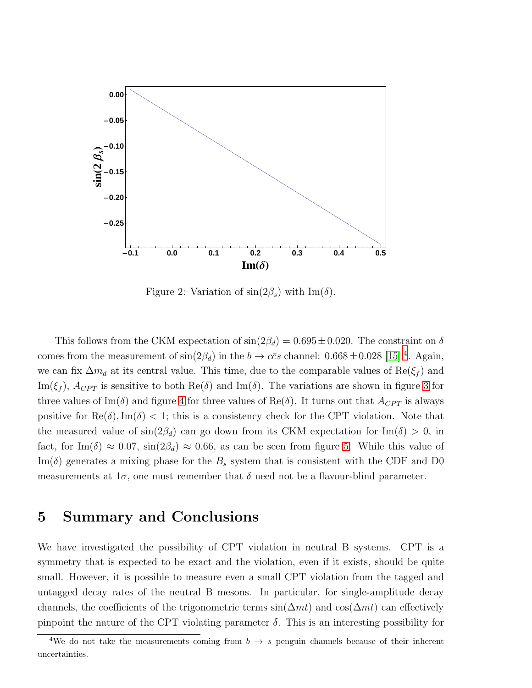

<span id="page-10-0"></span>Figure 2: Variation of  $\sin(2\beta_s)$  with  $\text{Im}(\delta)$ .

This follows from the CKM expectation of  $\sin(2\beta_d) = 0.695 \pm 0.020$ . The constraint on  $\delta$ comes from the measurement of  $\sin(2\beta_d)$  in the  $b \to c\bar{c}s$  channel:  $0.668 \pm 0.028$  [\[15\]](#page-13-12)<sup>[4](#page-10-1)</sup>. Again, we can fix  $\Delta m_d$  at its central value. This time, due to the comparable values of  $\text{Re}(\xi_f)$  and Im( $\xi_f$ ),  $A_{CPT}$  is sensitive to both Re( $\delta$ ) and Im( $\delta$ ). The variations are shown in figure [3](#page-11-0) for three values of Im( $\delta$ ) and figure [4](#page-11-1) for three values of Re( $\delta$ ). It turns out that  $A_{CPT}$  is always positive for  $\text{Re}(\delta)$ , Im( $\delta$ ) < 1; this is a consistency check for the CPT violation. Note that the measured value of  $\sin(2\beta_d)$  can go down from its CKM expectation for  $\text{Im}(\delta) > 0$ , in fact, for Im( $\delta$ )  $\approx 0.07$ ,  $\sin(2\beta_d) \approx 0.66$ , as can be seen from figure [5.](#page-12-2) While this value of  $\text{Im}(\delta)$  generates a mixing phase for the  $B_s$  system that is consistent with the CDF and D0 measurements at  $1\sigma$ , one must remember that  $\delta$  need not be a flavour-blind parameter.

## 5 Summary and Conclusions

We have investigated the possibility of CPT violation in neutral B systems. CPT is a symmetry that is expected to be exact and the violation, even if it exists, should be quite small. However, it is possible to measure even a small CPT violation from the tagged and untagged decay rates of the neutral B mesons. In particular, for single-amplitude decay channels, the coefficients of the trigonometric terms  $sin(\Delta mt)$  and  $cos(\Delta mt)$  can effectively pinpoint the nature of the CPT violating parameter  $\delta$ . This is an interesting possibility for

<span id="page-10-1"></span><sup>&</sup>lt;sup>4</sup>We do not take the measurements coming from  $b \rightarrow s$  penguin channels because of their inherent uncertainties.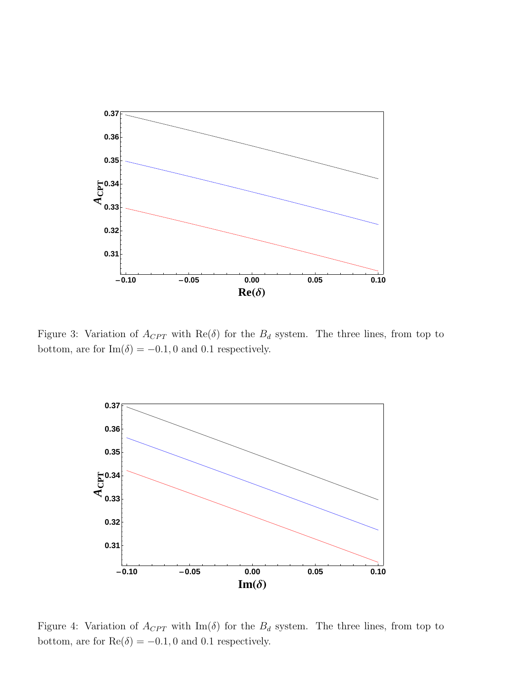

<span id="page-11-0"></span>Figure 3: Variation of  $A_{CPT}$  with  $\text{Re}(\delta)$  for the  $B_d$  system. The three lines, from top to bottom, are for  $\text{Im}(\delta) = -0.1, 0$  and 0.1 respectively.



<span id="page-11-1"></span>Figure 4: Variation of  $A_{CPT}$  with Im( $\delta$ ) for the  $B_d$  system. The three lines, from top to bottom, are for  $\text{Re}(\delta) = -0.1, 0$  and 0.1 respectively.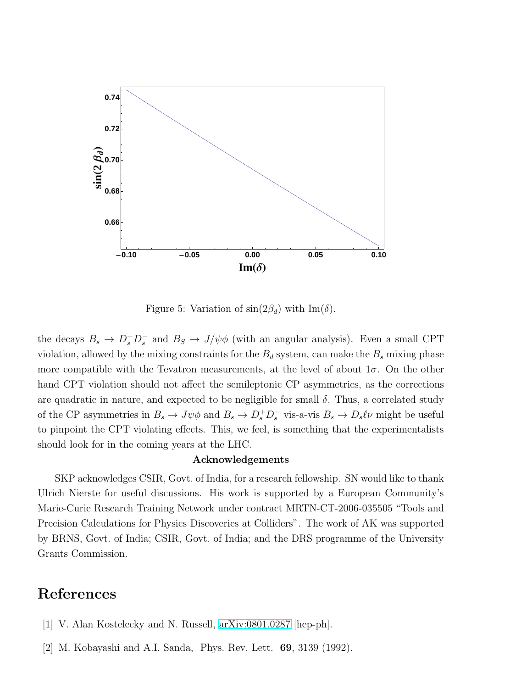

<span id="page-12-2"></span>Figure 5: Variation of  $\sin(2\beta_d)$  with  $\text{Im}(\delta)$ .

the decays  $B_s \to D_s^+ D_s^-$  and  $B_s \to J/\psi \phi$  (with an angular analysis). Even a small CPT violation, allowed by the mixing constraints for the  $B_d$  system, can make the  $B_s$  mixing phase more compatible with the Tevatron measurements, at the level of about  $1\sigma$ . On the other hand CPT violation should not affect the semileptonic CP asymmetries, as the corrections are quadratic in nature, and expected to be negligible for small  $\delta$ . Thus, a correlated study of the CP asymmetries in  $B_s \to J\psi\phi$  and  $B_s \to D_s^+D_s^-$  vis-a-vis  $B_s \to D_s\ell\nu$  might be useful to pinpoint the CPT violating effects. This, we feel, is something that the experimentalists should look for in the coming years at the LHC.

#### Acknowledgements

SKP acknowledges CSIR, Govt. of India, for a research fellowship. SN would like to thank Ulrich Nierste for useful discussions. His work is supported by a European Community's Marie-Curie Research Training Network under contract MRTN-CT-2006-035505 "Tools and Precision Calculations for Physics Discoveries at Colliders". The work of AK was supported by BRNS, Govt. of India; CSIR, Govt. of India; and the DRS programme of the University Grants Commission.

# <span id="page-12-0"></span>References

- <span id="page-12-1"></span>[1] V. Alan Kostelecky and N. Russell, [arXiv:0801.0287](http://arxiv.org/abs/0801.0287) [hep-ph].
- [2] M. Kobayashi and A.I. Sanda, Phys. Rev. Lett. 69, 3139 (1992).